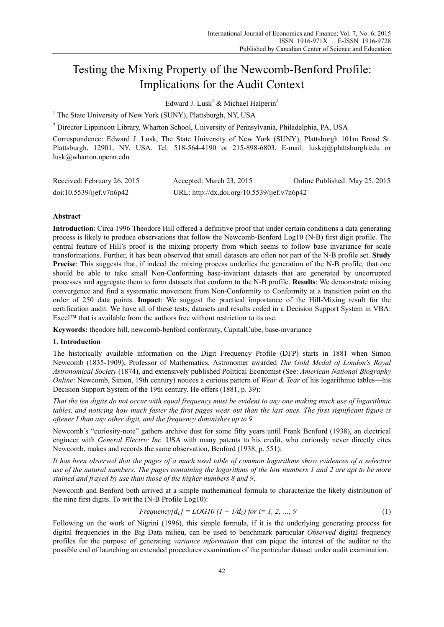# Testing the Mixing Property of the Newcomb-Benford Profile: Implications for the Audit Context

Edward J. Lusk<sup>1</sup> & Michael Halperin<sup>2</sup>

<sup>1</sup> The State University of New York (SUNY), Plattsburgh, NY, USA

<sup>2</sup> Director Lippincott Library, Wharton School, University of Pennsylvania, Philadelphia, PA, USA

Correspondence: Edward J. Lusk, The State University of New York (SUNY), Plattsburgh 101m Broad St. Plattsburgh, 12901, NY, USA. Tel: 518-564-4190 or 215-898-6803. E-mail: luskej@plattsburgh.edu or lusk@wharton.upenn.edu

| Received: February 26, 2015 | Accepted: March 23, 2015                    | Online Published: May 25, 2015 |
|-----------------------------|---------------------------------------------|--------------------------------|
| doi:10.5539/ijef.v7n6p42    | URL: http://dx.doi.org/10.5539/ijef.v7n6p42 |                                |

# **Abstract**

**Introduction**: Circa 1996 Theodore Hill offered a definitive proof that under certain conditions a data generating process is likely to produce observations that follow the Newcomb-Benford Log10 (N-B) first digit profile. The central feature of Hill's proof is the mixing property from which seems to follow base invariance for scale transformations. Further, it has been observed that small datasets are often not part of the N-B profile set. **Study**  Precise: This suggests that, if indeed the mixing process underlies the generation of the N-B profile, that one should be able to take small Non-Conforming base-invariant datasets that are generated by uncorrupted processes and aggregate them to form datasets that conform to the N-B profile. **Results**: We demonstrate mixing convergence and find a systematic movement from Non-Conformity to Conformity at a transition point on the order of 250 data points. **Impact**: We suggest the practical importance of the Hill-Mixing result for the certification audit. We have all of these tests, datasets and results coded in a Decision Support System in VBA: Excel™ that is available from the authors free without restriction to its use.

**Keywords:** theodore hill, newcomb-benford conformity, CapitalCube, base-invariance

# **1. Introduction**

The historically available information on the Digit Frequency Profile (DFP) starts in 1881 when Simon Newcomb (1835-1909), Professor of Mathematics, Astronomer awarded *The Gold Medal of London's Royal Astronomical Society* (1874), and extensively published Political Economist (See: *American National Biography Online*: Newcomb, Simon, 19th century) notices a curious pattern of *Wear & Tear* of his logarithmic tables—his Decision Support System of the 19th century. He offers (1881, p. 39):

*That the ten digits do not occur with equal frequency must be evident to any one making much use of logarithmic tables, and noticing how much faster the first pages wear out than the last ones. The first significant figure is oftener I than any other digit, and the frequency diminishes up to 9.* 

Newcomb's "curiosity-note" gathers archive dust for some fifty years until Frank Benford (1938), an electrical engineer with *General Electric Inc.* USA with many patents to his credit, who curiously never directly cites Newcomb, makes and records the same observation, Benford (1938, p. 551):

*It has been observed that the pages of a much used table of common logarithms show evidences of a selective use of the natural numbers. The pages containing the logarithms of the low numbers 1 and 2 are apt to be more stained and frayed by use than those of the higher numbers 8 and 9*.

Newcomb and Benford both arrived at a simple mathematical formula to characterize the likely distribution of the nine first digits. To wit the (N-B Profile Log10):

Frequency[
$$
d_i
$$
] = LOG10 (1 + 1/ $d_i$ ) for i= 1, 2, ..., 9 (1)

Following on the work of Nigrini (1996), this simple formula, if it is the underlying generating process for digital frequencies in the Big Data milieu, can be used to benchmark particular *Observed* digital frequency profiles for the purpose of generating *variance information* that can pique the interest of the auditor to the possible end of launching an extended procedures examination of the particular dataset under audit examination.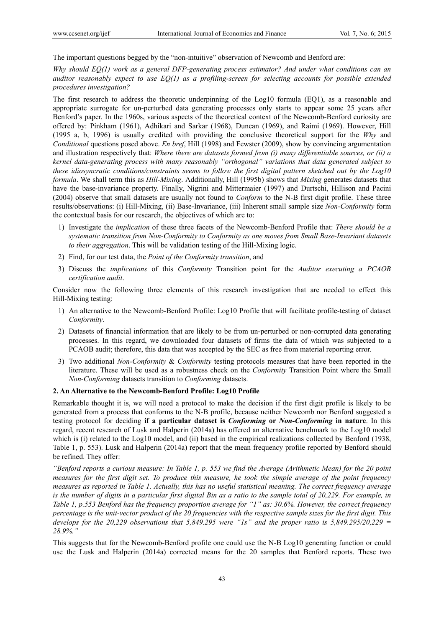The important questions begged by the "non-intuitive" observation of Newcomb and Benford are:

# *Why should EQ(1) work as a general DFP-generating process estimator? And under what conditions can an auditor reasonably expect to use EQ(1) as a profiling-screen for selecting accounts for possible extended procedures investigation?*

The first research to address the theoretic underpinning of the Log10 formula (EQ1), as a reasonable and appropriate surrogate for un-perturbed data generating processes only starts to appear some 25 years after Benford's paper. In the 1960s, various aspects of the theoretical context of the Newcomb-Benford curiosity are offered by: Pinkham (1961), Adhikari and Sarkar (1968), Duncan (1969), and Raimi (1969). However, Hill (1995 a, b, 1996) is usually credited with providing the conclusive theoretical support for the *Why* and *Conditional* questions posed above. *En bref*, Hill (1998) and Fewster (2009), show by convincing argumentation and illustration respectively that: *Where there are datasets formed from (i) many differentiable sources, or (ii) a kernel data-generating process with many reasonably "orthogonal" variations that data generated subject to these idiosyncratic conditions/constraints seems to follow the first digital pattern sketched out by the Log10 formula*. We shall term this as *Hill-Mixing*. Additionally, Hill (1995b) shows that *Mixing* generates datasets that have the base-invariance property. Finally, Nigrini and Mittermaier (1997) and Durtschi, Hillison and Pacini (2004) observe that small datasets are usually not found to *Conform* to the N-B first digit profile. These three results/observations: (i) Hill-Mixing, (ii) Base-Invariance, (iii) Inherent small sample size *Non-Conformity* form the contextual basis for our research, the objectives of which are to:

- 1) Investigate the *implication* of these three facets of the Newcomb-Benford Profile that: *There should be a systematic transition from Non-Conformity to Conformity as one moves from Small Base-Invariant datasets to their aggregation*. This will be validation testing of the Hill-Mixing logic.
- 2) Find, for our test data, the *Point of the Conformity transition*, and
- 3) Discuss the *implications* of this *Conformity* Transition point for the *Auditor executing a PCAOB certification audit*.

Consider now the following three elements of this research investigation that are needed to effect this Hill-Mixing testing:

- 1) An alternative to the Newcomb-Benford Profile: Log10 Profile that will facilitate profile-testing of dataset *Conformity*.
- 2) Datasets of financial information that are likely to be from un-perturbed or non-corrupted data generating processes. In this regard, we downloaded four datasets of firms the data of which was subjected to a PCAOB audit; therefore, this data that was accepted by the SEC as free from material reporting error.
- 3) Two additional *Non-Conformity* & *Conformity* testing protocols measures that have been reported in the literature. These will be used as a robustness check on the *Conformity* Transition Point where the Small *Non-Conforming* datasets transition to *Conforming* datasets.

## **2. An Alternative to the Newcomb-Benford Profile: Log10 Profile**

Remarkable thought it is, we will need a protocol to make the decision if the first digit profile is likely to be generated from a process that conforms to the N-B profile, because neither Newcomb nor Benford suggested a testing protocol for deciding **if a particular dataset is** *Conforming* **or** *Non-Conforming* **in nature**. In this regard, recent research of Lusk and Halperin (2014a) has offered an alternative benchmark to the Log10 model which is (i) related to the Log10 model, and (ii) based in the empirical realizations collected by Benford (1938, Table 1, p. 553). Lusk and Halperin (2014a) report that the mean frequency profile reported by Benford should be refined. They offer:

*"Benford reports a curious measure: In Table 1, p. 553 we find the Average (Arithmetic Mean) for the 20 point measures for the first digit set. To produce this measure, he took the simple average of the point frequency measures as reported in Table 1. Actually, this has no useful statistical meaning. The correct frequency average is the number of digits in a particular first digital Bin as a ratio to the sample total of 20,229. For example, in Table 1, p.553 Benford has the frequency proportion average for "1" as: 30.6%. However, the correct frequency percentage is the unit-vector product of the 20 frequencies with the respective sample sizes for the first digit. This develops for the 20,229 observations that 5,849.295 were "1s" and the proper ratio is 5,849.295/20,229 = 28.9%."* 

This suggests that for the Newcomb-Benford profile one could use the N-B Log10 generating function or could use the Lusk and Halperin (2014a) corrected means for the 20 samples that Benford reports. These two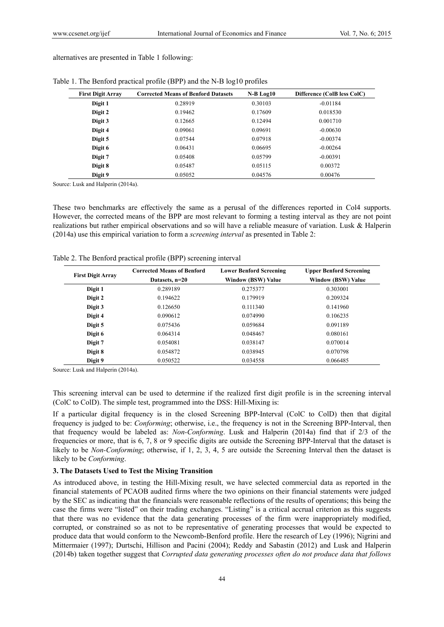alternatives are presented in Table 1 following:

| <b>First Digit Array</b> | <b>Corrected Means of Benford Datasets</b> | $N-B Log10$ | Difference (ColB less ColC) |
|--------------------------|--------------------------------------------|-------------|-----------------------------|
| Digit 1                  | 0.28919                                    | 0.30103     | $-0.01184$                  |
| Digit 2                  | 0.19462                                    | 0.17609     | 0.018530                    |
| Digit 3                  | 0.12665                                    | 0.12494     | 0.001710                    |
| Digit 4                  | 0.09061                                    | 0.09691     | $-0.00630$                  |
| Digit 5                  | 0.07544                                    | 0.07918     | $-0.00374$                  |
| Digit 6                  | 0.06431                                    | 0.06695     | $-0.00264$                  |
| Digit 7                  | 0.05408                                    | 0.05799     | $-0.00391$                  |
| Digit 8                  | 0.05487                                    | 0.05115     | 0.00372                     |
| Digit 9                  | 0.05052                                    | 0.04576     | 0.00476                     |

Table 1. The Benford practical profile (BPP) and the N-B log10 profiles

Source: Lusk and Halperin (2014a).

These two benchmarks are effectively the same as a perusal of the differences reported in Col4 supports. However, the corrected means of the BPP are most relevant to forming a testing interval as they are not point realizations but rather empirical observations and so will have a reliable measure of variation. Lusk & Halperin (2014a) use this empirical variation to form a *screening interval* as presented in Table 2:

|                          | <b>Corrected Means of Benford</b> | <b>Lower Benford Screening</b> | <b>Upper Benford Screening</b><br><b>Window (BSW) Value</b> |  |  |
|--------------------------|-----------------------------------|--------------------------------|-------------------------------------------------------------|--|--|
| <b>First Digit Array</b> | Datasets, n=20                    | <b>Window (BSW) Value</b>      |                                                             |  |  |
| Digit 1                  | 0.289189                          | 0.275377                       | 0.303001                                                    |  |  |
| Digit 2                  | 0.194622                          | 0.179919                       | 0.209324                                                    |  |  |
| Digit 3                  | 0.126650                          | 0.111340                       | 0.141960                                                    |  |  |
| Digit 4                  | 0.090612                          | 0.074990                       | 0.106235                                                    |  |  |
| Digit 5                  | 0.075436                          | 0.059684                       | 0.091189                                                    |  |  |
| Digit 6                  | 0.064314                          | 0.048467                       | 0.080161                                                    |  |  |
| Digit 7                  | 0.054081                          | 0.038147                       | 0.070014                                                    |  |  |
| Digit 8                  | 0.054872                          | 0.038945                       | 0.070798                                                    |  |  |
| Digit 9                  | 0.050522                          | 0.034558                       | 0.066485                                                    |  |  |

Table 2. The Benford practical profile (BPP) screening interval

Source: Lusk and Halperin (2014a).

This screening interval can be used to determine if the realized first digit profile is in the screening interval (ColC to ColD). The simple test, programmed into the DSS: Hill-Mixing is:

If a particular digital frequency is in the closed Screening BPP-Interval (ColC to ColD) then that digital frequency is judged to be: *Conforming*; otherwise, i.e., the frequency is not in the Screening BPP-Interval, then that frequency would be labeled as: *Non-Conforming*. Lusk and Halperin (2014a) find that if 2/3 of the frequencies or more, that is 6, 7, 8 or 9 specific digits are outside the Screening BPP-Interval that the dataset is likely to be *Non-Conforming*; otherwise, if 1, 2, 3, 4, 5 are outside the Screening Interval then the dataset is likely to be *Conforming*.

## **3. The Datasets Used to Test the Mixing Transition**

As introduced above, in testing the Hill-Mixing result, we have selected commercial data as reported in the financial statements of PCAOB audited firms where the two opinions on their financial statements were judged by the SEC as indicating that the financials were reasonable reflections of the results of operations; this being the case the firms were "listed" on their trading exchanges. "Listing" is a critical accrual criterion as this suggests that there was no evidence that the data generating processes of the firm were inappropriately modified, corrupted, or constrained so as not to be representative of generating processes that would be expected to produce data that would conform to the Newcomb-Benford profile. Here the research of Ley (1996); Nigrini and Mittermaier (1997); Durtschi, Hillison and Pacini (2004); Reddy and Sabastin (2012) and Lusk and Halperin (2014b) taken together suggest that *Corrupted data generating processes often do not produce data that follows*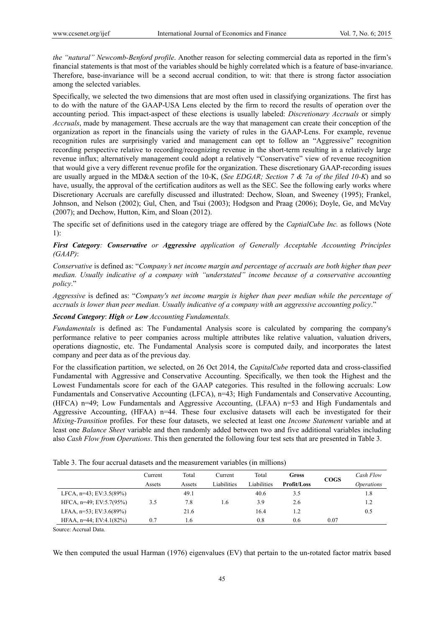*the "natural" Newcomb-Benford profile*. Another reason for selecting commercial data as reported in the firm's financial statements is that most of the variables should be highly correlated which is a feature of base-invariance. Therefore, base-invariance will be a second accrual condition, to wit: that there is strong factor association among the selected variables.

Specifically, we selected the two dimensions that are most often used in classifying organizations. The first has to do with the nature of the GAAP-USA Lens elected by the firm to record the results of operation over the accounting period. This impact-aspect of these elections is usually labeled: *Discretionary Accruals* or simply *Accruals*, made by management. These accruals are the way that management can create their conception of the organization as report in the financials using the variety of rules in the GAAP-Lens. For example, revenue recognition rules are surprisingly varied and management can opt to follow an "Aggressive" recognition recording perspective relative to recording/recognizing revenue in the short-term resulting in a relatively large revenue influx; alternatively management could adopt a relatively "Conservative" view of revenue recognition that would give a very different revenue profile for the organization. These discretionary GAAP-recording issues are usually argued in the MD&A section of the 10-K, (*See EDGAR; Section 7 & 7a of the filed 10-K*) and so have, usually, the approval of the certification auditors as well as the SEC. See the following early works where Discretionary Accruals are carefully discussed and illustrated: Dechow, Sloan, and Sweeney (1995); Frankel, Johnson, and Nelson (2002); Gul, Chen, and Tsui (2003); Hodgson and Praag (2006); Doyle, Ge, and McVay (2007); and Dechow, Hutton, Kim, and Sloan (2012).

The specific set of definitions used in the category triage are offered by the *CaptialCube Inc.* as follows (Note 1):

# *First Category: Conservative or Aggressive application of Generally Acceptable Accounting Principles (GAAP)*:

*Conservative* is defined as: "*Company's net income margin and percentage of accruals are both higher than peer median. Usually indicative of a company with "understated" income because of a conservative accounting policy*."

*Aggressive* is defined as: "*Company's net income margin is higher than peer median while the percentage of accruals is lower than peer median. Usually indicative of a company with an aggressive accounting policy*."

# *Second Category*: *High or Low Accounting Fundamentals.*

*Fundamentals* is defined as: The Fundamental Analysis score is calculated by comparing the company's performance relative to peer companies across multiple attributes like relative valuation, valuation drivers, operations diagnostic, etc. The Fundamental Analysis score is computed daily, and incorporates the latest company and peer data as of the previous day.

For the classification partition, we selected, on 26 Oct 2014, the *CapitalCube* reported data and cross-classified Fundamental with Aggressive and Conservative Accounting. Specifically, we then took the Highest and the Lowest Fundamentals score for each of the GAAP categories. This resulted in the following accruals: Low Fundamentals and Conservative Accounting (LFCA), n=43; High Fundamentals and Conservative Accounting, (HFCA) n=49; Low Fundamentals and Aggressive Accounting, (LFAA) n=53 and High Fundamentals and Aggressive Accounting,  $(HFAA)$  n=44. These four exclusive datasets will each be investigated for their *Mixing-Transition* profiles. For these four datasets, we selected at least one *Income Statement* variable and at least one *Balance Sheet* variable and then randomly added between two and five additional variables including also *Cash Flow from Operations*. This then generated the following four test sets that are presented in Table 3.

|                               | Current | Total  | Current     | Total       | Gross       | <b>COGS</b> | Cash Flow         |
|-------------------------------|---------|--------|-------------|-------------|-------------|-------------|-------------------|
|                               | Assets  | Assets | Liabilities | Liabilities | Profit/Loss |             | <i>Operations</i> |
| LFCA, $n=43$ ; EV:3.5(89%)    |         | 49.1   |             | 40.6        | 3.5         |             | 1.8               |
| HFCA, $n=49$ ; EV:5.7(95%)    | 3.5     | 7.8    | 1.6         | 3.9         | 2.6         |             | 1.2               |
| LFAA, $n=53$ ; EV:3.6(89%)    |         | 21.6   |             | 16.4        | 12          |             | 0.5               |
| HFAA, $n=44$ ; EV: $4.1(82%)$ | 0.7     | 1.6    |             | 0.8         | 0.6         | 0.07        |                   |
|                               |         |        |             |             |             |             |                   |

Table 3. The four accrual datasets and the measurement variables (in millions)

Source: Accrual Data.

We then computed the usual Harman (1976) eigenvalues (EV) that pertain to the un-rotated factor matrix based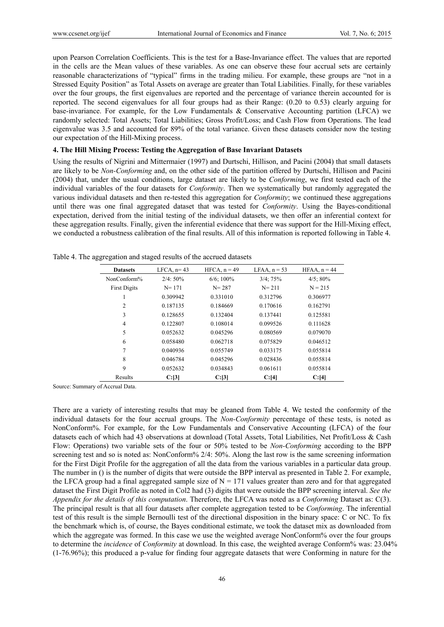upon Pearson Correlation Coefficients. This is the test for a Base-Invariance effect. The values that are reported in the cells are the Mean values of these variables. As one can observe these four accrual sets are certainly reasonable characterizations of "typical" firms in the trading milieu. For example, these groups are "not in a Stressed Equity Position" as Total Assets on average are greater than Total Liabilities. Finally, for these variables over the four groups, the first eigenvalues are reported and the percentage of variance therein accounted for is reported. The second eigenvalues for all four groups had as their Range: (0.20 to 0.53) clearly arguing for base-invariance. For example, for the Low Fundamentals & Conservative Accounting partition (LFCA) we randomly selected: Total Assets; Total Liabilities; Gross Profit/Loss; and Cash Flow from Operations. The lead eigenvalue was 3.5 and accounted for 89% of the total variance. Given these datasets consider now the testing our expectation of the Hill-Mixing process.

## **4. The Hill Mixing Process: Testing the Aggregation of Base Invariant Datasets**

Using the results of Nigrini and Mittermaier (1997) and Durtschi, Hillison, and Pacini (2004) that small datasets are likely to be *Non-Conforming* and, on the other side of the partition offered by Durtschi, Hillison and Pacini (2004) that, under the usual conditions, large dataset are likely to be *Conforming*, we first tested each of the individual variables of the four datasets for *Conformity*. Then we systematically but randomly aggregated the various individual datasets and then re-tested this aggregation for *Conformity*; we continued these aggregations until there was one final aggregated dataset that was tested for *Conformity*. Using the Bayes-conditional expectation, derived from the initial testing of the individual datasets, we then offer an inferential context for these aggregation results. Finally, given the inferential evidence that there was support for the Hill-Mixing effect, we conducted a robustness calibration of the final results. All of this information is reported following in Table 4.

| <b>Datasets</b>     | LFCA, $n=43$ | $HFCA$ , $n = 49$ | LFAA, $n = 53$ | $HFAA$ , $n = 44$ |
|---------------------|--------------|-------------------|----------------|-------------------|
| NonConform%         | $2/4:50\%$   | $6/6$ ; 100%      | $3/4$ ; $75%$  | $4/5$ ; 80%       |
| <b>First Digits</b> | $N = 171$    | $N = 287$         | $N = 211$      | $N = 215$         |
| 1                   | 0.309942     | 0.331010          | 0.312796       | 0.306977          |
| 2                   | 0.187135     | 0.184669          | 0.170616       | 0.162791          |
| 3                   | 0.128655     | 0.132404          | 0.137441       | 0.125581          |
| $\overline{4}$      | 0.122807     | 0.108014          | 0.099526       | 0.111628          |
| 5                   | 0.052632     | 0.045296          | 0.080569       | 0.079070          |
| 6                   | 0.058480     | 0.062718          | 0.075829       | 0.046512          |
| 7                   | 0.040936     | 0.055749          | 0.033175       | 0.055814          |
| 8                   | 0.046784     | 0.045296          | 0.028436       | 0.055814          |
| 9                   | 0.052632     | 0.034843          | 0.061611       | 0.055814          |
| Results             | C: [3]       | C: [3]            | C: [4]         | C: [4]            |

Table 4. The aggregation and staged results of the accrued datasets

Source: Summary of Accrual Data.

There are a variety of interesting results that may be gleaned from Table 4. We tested the conformity of the individual datasets for the four accrual groups. The *Non-Conformity* percentage of these tests, is noted as NonConform%. For example, for the Low Fundamentals and Conservative Accounting (LFCA) of the four datasets each of which had 43 observations at download (Total Assets, Total Liabilities, Net Profit/Loss & Cash Flow: Operations) two variable sets of the four or 50% tested to be *Non-Conforming* according to the BPP screening test and so is noted as: NonConform% 2/4: 50%. Along the last row is the same screening information for the First Digit Profile for the aggregation of all the data from the various variables in a particular data group. The number in () is the number of digits that were outside the BPP interval as presented in Table 2. For example, the LFCA group had a final aggregated sample size of  $N = 171$  values greater than zero and for that aggregated dataset the First Digit Profile as noted in Col2 had (3) digits that were outside the BPP screening interval. *See the Appendix for the details of this computation*. Therefore, the LFCA was noted as a *Conforming* Dataset as: C(3). The principal result is that all four datasets after complete aggregation tested to be *Conforming*. The inferential test of this result is the simple Bernoulli test of the directional disposition in the binary space: C or NC. To fix the benchmark which is, of course, the Bayes conditional estimate, we took the dataset mix as downloaded from which the aggregate was formed. In this case we use the weighted average NonConform% over the four groups to determine the *incidence* of *Conformity* at download. In this case, the weighted average Conform% was: 23.04% (1-76.96%); this produced a p-value for finding four aggregate datasets that were Conforming in nature for the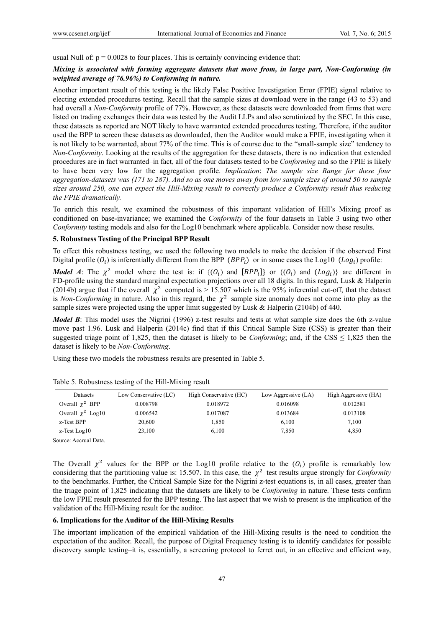usual Null of:  $p = 0.0028$  to four places. This is certainly convincing evidence that:

# *Mixing is associated with forming aggregate datasets that move from, in large part, Non-Conforming (in weighted average of 76.96%) to Conforming in nature.*

Another important result of this testing is the likely False Positive Investigation Error (FPIE) signal relative to electing extended procedures testing. Recall that the sample sizes at download were in the range (43 to 53) and had overall a *Non-Conformity* profile of 77%. However, as these datasets were downloaded from firms that were listed on trading exchanges their data was tested by the Audit LLPs and also scrutinized by the SEC. In this case, these datasets as reported are NOT likely to have warranted extended procedures testing. Therefore, if the auditor used the BPP to screen these datasets as downloaded, then the Auditor would make a FPIE, investigating when it is not likely to be warranted, about 77% of the time. This is of course due to the "small-sample size" tendency to *Non-Conformity*. Looking at the results of the aggregation for these datasets, there is no indication that extended procedures are in fact warranted–in fact, all of the four datasets tested to be *Conforming* and so the FPIE is likely to have been very low for the aggregation profile. *Implication*: *The sample size Range for these four aggregation-datasets was (171 to 287). And so as one moves away from low sample sizes of around 50 to sample sizes around 250, one can expect the Hill-Mixing result to correctly produce a Conformity result thus reducing the FPIE dramatically.*

To enrich this result, we examined the robustness of this important validation of Hill's Mixing proof as conditioned on base-invariance; we examined the *Conformity* of the four datasets in Table 3 using two other *Conformity* testing models and also for the Log10 benchmark where applicable. Consider now these results.

#### **5. Robustness Testing of the Principal BPP Result**

To effect this robustness testing, we used the following two models to make the decision if the observed First Digital profile  $(O_i)$  is inferentially different from the BPP  $(BPP_i)$  or in some cases the Log10  $(Log_i)$  profile:

*Model A*: The  $\chi^2$  model where the test is: if  $\{(O_i)$  and  $[BPP_i]\}$  or  $\{(O_i)$  and  $(Log_i)\}$  are different in FD-profile using the standard marginal expectation projections over all 18 digits. In this regard, Lusk & Halperin (2014b) argue that if the overall  $\chi^2$  computed is > 15.507 which is the 95% inferential cut-off, that the dataset is *Non-Conforming* in nature. Also in this regard, the  $\chi^2$  sample size anomaly does not come into play as the sample sizes were projected using the upper limit suggested by Lusk & Halperin (2104b) of 440.

*Model B*: This model uses the Nigrini (1996) z-test results and tests at what sample size does the 6th z-value move past 1.96. Lusk and Halperin (2014c) find that if this Critical Sample Size (CSS) is greater than their suggested triage point of 1,825, then the dataset is likely to be *Conforming*; and, if the CSS  $\leq 1,825$  then the dataset is likely to be *Non-Conforming*.

Using these two models the robustness results are presented in Table 5.

| Datasets               | Low Conservative (LC) | High Conservative (HC) | Low Aggressive (LA) | High Aggressive (HA) |
|------------------------|-----------------------|------------------------|---------------------|----------------------|
| Overall $\chi^2$ BPP   | 0.008798              | 0.018972               | 0.016098            | 0.012581             |
| Overall $\chi^2$ Log10 | 0.006542              | 0.017087               | 0.013684            | 0.013108             |
| z-Test BPP             | 20,600                | 1,850                  | 6,100               | 7,100                |
| z-Test Log10           | 23.100                | 6.100                  | 7.850               | 4.850                |

Table 5. Robustness testing of the Hill-Mixing result

Source: Accrual Data.

The Overall  $\chi^2$  values for the BPP or the Log10 profile relative to the  $(O_i)$  profile is remarkably low considering that the partitioning value is: 15.507. In this case, the  $\chi^2$  test results argue strongly for *Conformity* to the benchmarks. Further, the Critical Sample Size for the Nigrini z-test equations is, in all cases, greater than the triage point of 1,825 indicating that the datasets are likely to be *Conforming* in nature. These tests confirm the low FPIE result presented for the BPP testing. The last aspect that we wish to present is the implication of the validation of the Hill-Mixing result for the auditor.

#### **6. Implications for the Auditor of the Hill-Mixing Results**

The important implication of the empirical validation of the Hill-Mixing results is the need to condition the expectation of the auditor. Recall, the purpose of Digital Frequency testing is to identify candidates for possible discovery sample testing–it is, essentially, a screening protocol to ferret out, in an effective and efficient way,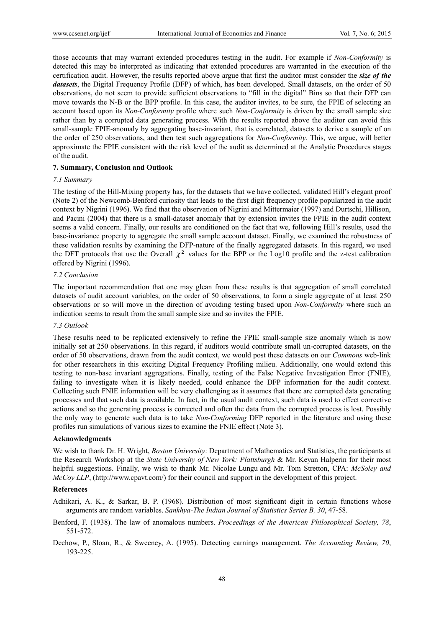those accounts that may warrant extended procedures testing in the audit. For example if *Non-Conformity* is detected this may be interpreted as indicating that extended procedures are warranted in the execution of the certification audit. However, the results reported above argue that first the auditor must consider the *size of the datasets*, the Digital Frequency Profile (DFP) of which, has been developed. Small datasets, on the order of 50 observations, do not seem to provide sufficient observations to "fill in the digital" Bins so that their DFP can move towards the N-B or the BPP profile. In this case, the auditor invites, to be sure, the FPIE of selecting an account based upon its *Non-Conformity* profile where such *Non-Conformity* is driven by the small sample size rather than by a corrupted data generating process. With the results reported above the auditor can avoid this small-sample FPIE-anomaly by aggregating base-invariant, that is correlated, datasets to derive a sample of on the order of 250 observations, and then test such aggregations for *Non-Conformity*. This, we argue, will better approximate the FPIE consistent with the risk level of the audit as determined at the Analytic Procedures stages of the audit.

## **7. Summary, Conclusion and Outlook**

#### *7.1 Summary*

The testing of the Hill-Mixing property has, for the datasets that we have collected, validated Hill's elegant proof (Note 2) of the Newcomb-Benford curiosity that leads to the first digit frequency profile popularized in the audit context by Nigrini (1996). We find that the observation of Nigrini and Mittermaier (1997) and Durtschi, Hillison, and Pacini (2004) that there is a small-dataset anomaly that by extension invites the FPIE in the audit context seems a valid concern. Finally, our results are conditioned on the fact that we, following Hill's results, used the base-invariance property to aggregate the small sample account dataset. Finally, we examined the robustness of these validation results by examining the DFP-nature of the finally aggregated datasets. In this regard, we used the DFT protocols that use the Overall  $\chi^2$  values for the BPP or the Log10 profile and the z-test calibration offered by Nigrini (1996).

# *7.2 Conclusion*

The important recommendation that one may glean from these results is that aggregation of small correlated datasets of audit account variables, on the order of 50 observations, to form a single aggregate of at least 250 observations or so will move in the direction of avoiding testing based upon *Non-Conformity* where such an indication seems to result from the small sample size and so invites the FPIE.

## *7.3 Outlook*

These results need to be replicated extensively to refine the FPIE small-sample size anomaly which is now initially set at 250 observations. In this regard, if auditors would contribute small un-corrupted datasets, on the order of 50 observations, drawn from the audit context, we would post these datasets on our *Commons* web-link for other researchers in this exciting Digital Frequency Profiling milieu. Additionally, one would extend this testing to non-base invariant aggregations. Finally, testing of the False Negative Investigation Error (FNIE), failing to investigate when it is likely needed, could enhance the DFP information for the audit context. Collecting such FNIE information will be very challenging as it assumes that there are corrupted data generating processes and that such data is available. In fact, in the usual audit context, such data is used to effect corrective actions and so the generating process is corrected and often the data from the corrupted process is lost. Possibly the only way to generate such data is to take *Non-Conforming* DFP reported in the literature and using these profiles run simulations of various sizes to examine the FNIE effect (Note 3).

#### **Acknowledgments**

We wish to thank Dr. H. Wright, *Boston University*: Department of Mathematics and Statistics, the participants at the Research Workshop at the *State University of New York: Plattsburgh* & Mr. Keyan Halperin for their most helpful suggestions. Finally, we wish to thank Mr. Nicolae Lungu and Mr. Tom Stretton, CPA: *McSoley and McCoy LLP*, (http://www.cpavt.com/) for their council and support in the development of this project.

#### **References**

Adhikari, A. K., & Sarkar, B. P. (1968). Distribution of most significant digit in certain functions whose arguments are random variables. *Sankhya-The Indian Journal of Statistics Series B, 30*, 47-58.

- Benford, F. (1938). The law of anomalous numbers. *Proceedings of the American Philosophical Society, 78*, 551-572.
- Dechow, P., Sloan, R., & Sweeney, A. (1995). Detecting earnings management. *The Accounting Review, 70*, 193-225.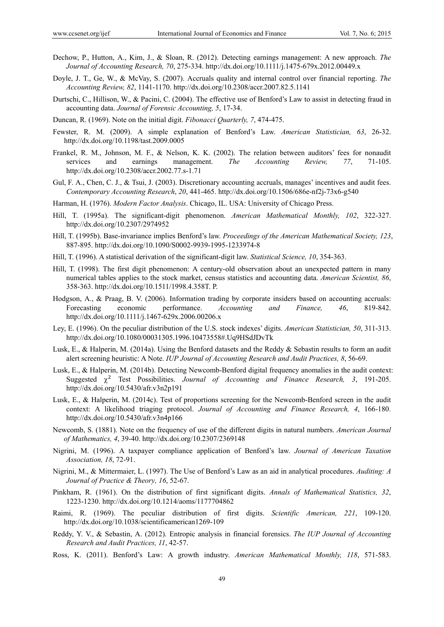- Dechow, P., Hutton, A., Kim, J., & Sloan, R. (2012). Detecting earnings management: A new approach. *The Journal of Accounting Research, 70*, 275-334. http://dx.doi.org/10.1111/j.1475-679x.2012.00449.x
- Doyle, J. T., Ge, W., & McVay, S. (2007). Accruals quality and internal control over financial reporting. *The Accounting Review, 82*, 1141-1170. http://dx.doi.org/10.2308/accr.2007.82.5.1141
- Durtschi, C., Hillison, W., & Pacini, C. (2004). The effective use of Benford's Law to assist in detecting fraud in accounting data. *Journal of Forensic Accounting, 5*, 17-34.
- Duncan, R. (1969). Note on the initial digit. *Fibonacci Quarterly, 7*, 474-475.
- Fewster, R. M. (2009). A simple explanation of Benford's Law. *American Statistician, 63*, 26-32. http://dx.doi.org/10.1198/tast.2009.0005
- Frankel, R. M., Johnson, M. F., & Nelson, K. K. (2002). The relation between auditors' fees for nonaudit services and earnings management. *The Accounting Review, 77*, 71-105. http://dx.doi.org/10.2308/accr.2002.77.s-1.71
- Gul, F. A., Chen, C. J., & Tsui, J. (2003). Discretionary accounting accruals, manages' incentives and audit fees. *Contemporary Accounting Research*, *20*, 441-465. http://dx.doi.org/10.1506/686e-nf2j-73x6-g540
- Harman, H. (1976). *Modern Factor Analysis*. Chicago, IL. USA: University of Chicago Press.
- Hill, T. (1995a). The significant-digit phenomenon. *American Mathematical Monthly, 102*, 322-327. http://dx.doi.org/10.2307/2974952
- Hill, T. (1995b). Base-invariance implies Benford's law. *Proceedings of the American Mathematical Society, 123*, 887-895. http://dx.doi.org/10.1090/S0002-9939-1995-1233974-8
- Hill, T. (1996). A statistical derivation of the significant-digit law. *Statistical Science, 10*, 354-363.
- Hill, T. (1998). The first digit phenomenon: A century-old observation about an unexpected pattern in many numerical tables applies to the stock market, census statistics and accounting data. *American Scientist, 86*, 358-363. http://dx.doi.org/10.1511/1998.4.358T. P.
- Hodgson, A., & Praag, B. V. (2006). Information trading by corporate insiders based on accounting accruals: Forecasting economic performance. *Accounting and Finance, 46*, 819-842. http://dx.doi.org/10.1111/j.1467-629x.2006.00206.x
- Ley, E. (1996). On the peculiar distribution of the U.S. stock indexes' digits. *American Statistician, 50*, 311-313. http://dx.doi.org/10.1080/00031305.1996.10473558#.Uq9HSdJDvTk
- Lusk, E., & Halperin, M. (2014a). Using the Benford datasets and the Reddy & Sebastin results to form an audit alert screening heuristic: A Note. *IUP Journal of Accounting Research and Audit Practices, 8*, 56-69.
- Lusk, E., & Halperin, M. (2014b). Detecting Newcomb-Benford digital frequency anomalies in the audit context: Suggested  $\chi^2$  Test Possibilities. *Journal of Accounting and Finance Research*, 3, 191-205. http://dx.doi.org/10.5430/afr.v3n2p191
- Lusk, E., & Halperin, M. (2014c). Test of proportions screening for the Newcomb-Benford screen in the audit context: A likelihood triaging protocol. *Journal of Accounting and Finance Research, 4*, 166-180. http://dx.doi.org/10.5430/afr.v3n4p166
- Newcomb, S. (1881). Note on the frequency of use of the different digits in natural numbers. *American Journal of Mathematics, 4*, 39-40. http://dx.doi.org/10.2307/2369148
- Nigrini, M. (1996). A taxpayer compliance application of Benford's law. *Journal of American Taxation Association, 18*, 72-91.
- Nigrini, M., & Mittermaier, L. (1997). The Use of Benford's Law as an aid in analytical procedures. *Auditing: A Journal of Practice & Theory, 16*, 52-67.
- Pinkham, R. (1961). On the distribution of first significant digits. *Annals of Mathematical Statistics, 32*, 1223-1230. http://dx.doi.org/10.1214/aoms/1177704862
- Raimi, R. (1969). The peculiar distribution of first digits. *Scientific American, 221*, 109-120. http://dx.doi.org/10.1038/scientificamerican1269-109
- Reddy, Y. V., & Sebastin, A. (2012). Entropic analysis in financial forensics. *The IUP Journal of Accounting Research and Audit Practices, 11*, 42-57.
- Ross, K. (2011). Benford's Law: A growth industry. *American Mathematical Monthly, 118*, 571-583.